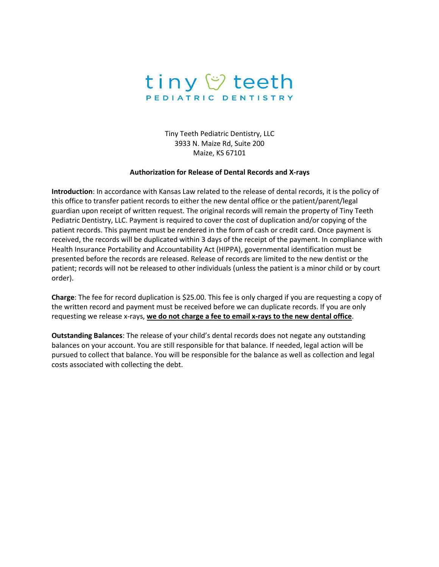

Tiny Teeth Pediatric Dentistry, LLC 3933 N. Maize Rd, Suite 200 Maize, KS 67101

## **Authorization for Release of Dental Records and X-rays**

**Introduction**: In accordance with Kansas Law related to the release of dental records, it is the policy of this office to transfer patient records to either the new dental office or the patient/parent/legal guardian upon receipt of written request. The original records will remain the property of Tiny Teeth Pediatric Dentistry, LLC. Payment is required to cover the cost of duplication and/or copying of the patient records. This payment must be rendered in the form of cash or credit card. Once payment is received, the records will be duplicated within 3 days of the receipt of the payment. In compliance with Health Insurance Portability and Accountability Act (HIPPA), governmental identification must be presented before the records are released. Release of records are limited to the new dentist or the patient; records will not be released to other individuals (unless the patient is a minor child or by court order).

**Charge**: The fee for record duplication is \$25.00. This fee is only charged if you are requesting a copy of the written record and payment must be received before we can duplicate records. If you are only requesting we release x-rays, **we do not charge a fee to email x-rays to the new dentaloffice**.

**Outstanding Balances**: The release of your child's dental records does not negate any outstanding balances on your account. You are still responsible for that balance. If needed, legal action will be pursued to collect that balance. You will be responsible for the balance as well as collection and legal costs associated with collecting the debt.